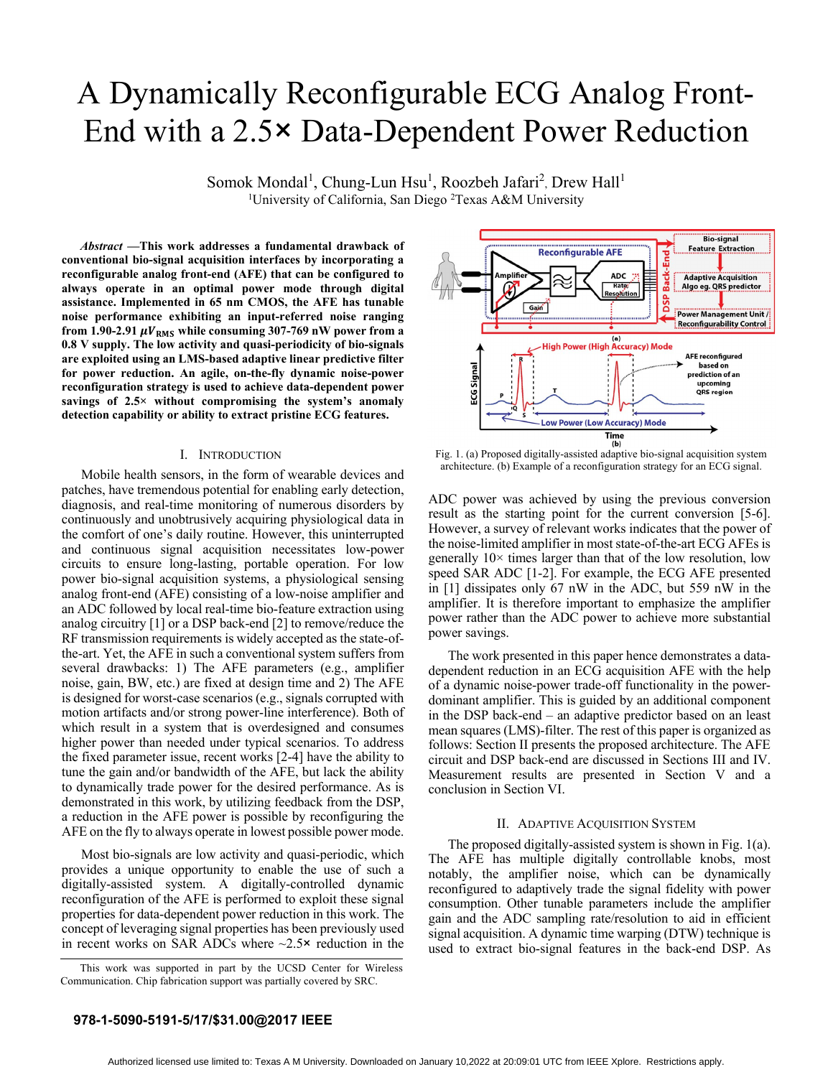# A Dynamically Reconfigurable ECG Analog Front-End with a 2.5× Data-Dependent Power Reduction

Somok Mondal<sup>1</sup>, Chung-Lun Hsu<sup>1</sup>, Roozbeh Jafari<sup>2</sup>, Drew Hall<sup>1</sup> <sup>1</sup>University of California, San Diego <sup>2</sup>Texas A&M University

*Abstract* **—This work addresses a fundamental drawback of conventional bio-signal acquisition interfaces by incorporating a reconfigurable analog front-end (AFE) that can be configured to always operate in an optimal power mode through digital assistance. Implemented in 65 nm CMOS, the AFE has tunable noise performance exhibiting an input-referred noise ranging**  from 1.90-2.91  $\mu V_{RMS}$  while consuming 307-769 nW power from a **0.8 V supply. The low activity and quasi-periodicity of bio-signals are exploited using an LMS-based adaptive linear predictive filter for power reduction. An agile, on-the-fly dynamic noise-power reconfiguration strategy is used to achieve data-dependent power savings of 2.5× without compromising the system's anomaly detection capability or ability to extract pristine ECG features.** 

# I. INTRODUCTION

 Mobile health sensors, in the form of wearable devices and patches, have tremendous potential for enabling early detection, diagnosis, and real-time monitoring of numerous disorders by continuously and unobtrusively acquiring physiological data in the comfort of one's daily routine. However, this uninterrupted and continuous signal acquisition necessitates low-power circuits to ensure long-lasting, portable operation. For low power bio-signal acquisition systems, a physiological sensing analog front-end (AFE) consisting of a low-noise amplifier and an ADC followed by local real-time bio-feature extraction using analog circuitry [1] or a DSP back-end [2] to remove/reduce the RF transmission requirements is widely accepted as the state-ofthe-art. Yet, the AFE in such a conventional system suffers from several drawbacks: 1) The AFE parameters (e.g., amplifier noise, gain, BW, etc.) are fixed at design time and 2) The AFE is designed for worst-case scenarios (e.g., signals corrupted with motion artifacts and/or strong power-line interference). Both of which result in a system that is overdesigned and consumes higher power than needed under typical scenarios. To address the fixed parameter issue, recent works [2-4] have the ability to tune the gain and/or bandwidth of the AFE, but lack the ability to dynamically trade power for the desired performance. As is demonstrated in this work, by utilizing feedback from the DSP, a reduction in the AFE power is possible by reconfiguring the AFE on the fly to always operate in lowest possible power mode.

 Most bio-signals are low activity and quasi-periodic, which provides a unique opportunity to enable the use of such a digitally-assisted system. A digitally-controlled dynamic reconfiguration of the AFE is performed to exploit these signal properties for data-dependent power reduction in this work. The concept of leveraging signal properties has been previously used in recent works on SAR ADCs where  $\sim$ 2.5 $\times$  reduction in the



Fig. 1. (a) Proposed digitally-assisted adaptive bio-signal acquisition system architecture. (b) Example of a reconfiguration strategy for an ECG signal.

ADC power was achieved by using the previous conversion result as the starting point for the current conversion [5-6]. However, a survey of relevant works indicates that the power of the noise-limited amplifier in most state-of-the-art ECG AFEs is generally  $10\times$  times larger than that of the low resolution, low speed SAR ADC [1-2]. For example, the ECG AFE presented in [1] dissipates only 67 nW in the ADC, but 559 nW in the amplifier. It is therefore important to emphasize the amplifier power rather than the ADC power to achieve more substantial power savings.

 The work presented in this paper hence demonstrates a datadependent reduction in an ECG acquisition AFE with the help of a dynamic noise-power trade-off functionality in the powerdominant amplifier. This is guided by an additional component in the DSP back-end – an adaptive predictor based on an least mean squares (LMS)-filter. The rest of this paper is organized as follows: Section II presents the proposed architecture. The AFE circuit and DSP back-end are discussed in Sections III and IV. Measurement results are presented in Section V and a conclusion in Section VI.

## II. ADAPTIVE ACQUISITION SYSTEM

 The proposed digitally-assisted system is shown in Fig. 1(a). The AFE has multiple digitally controllable knobs, most notably, the amplifier noise, which can be dynamically reconfigured to adaptively trade the signal fidelity with power consumption. Other tunable parameters include the amplifier gain and the ADC sampling rate/resolution to aid in efficient signal acquisition. A dynamic time warping (DTW) technique is used to extract bio-signal features in the back-end DSP. As

# **978-1-5090-5191-5/17/\$31.00@2017 IEEE**

This work was supported in part by the UCSD Center for Wireless Communication. Chip fabrication support was partially covered by SRC.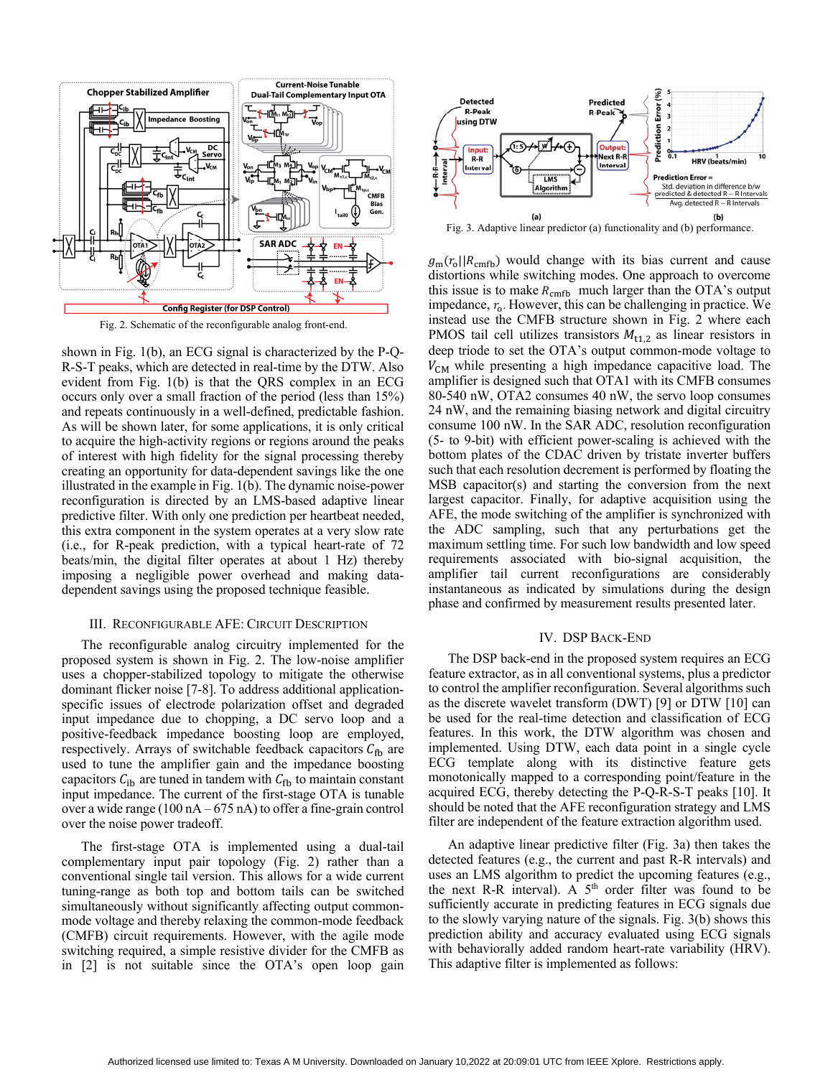

Fig. 2. Schematic of the reconfigurable analog front-end.

shown in Fig. 1(b), an ECG signal is characterized by the P-Q-R-S-T peaks, which are detected in real-time by the DTW. Also evident from Fig. 1(b) is that the QRS complex in an ECG occurs only over a small fraction of the period (less than 15%) and repeats continuously in a well-defined, predictable fashion. As will be shown later, for some applications, it is only critical to acquire the high-activity regions or regions around the peaks of interest with high fidelity for the signal processing thereby creating an opportunity for data-dependent savings like the one illustrated in the example in Fig. 1(b). The dynamic noise-power reconfiguration is directed by an LMS-based adaptive linear predictive filter. With only one prediction per heartbeat needed, this extra component in the system operates at a very slow rate (i.e., for R-peak prediction, with a typical heart-rate of 72 beats/min, the digital filter operates at about 1 Hz) thereby imposing a negligible power overhead and making datadependent savings using the proposed technique feasible.

#### III. RECONFIGURABLE AFE: CIRCUIT DESCRIPTION

The reconfigurable analog circuitry implemented for the proposed system is shown in Fig. 2. The low-noise amplifier uses a chopper-stabilized topology to mitigate the otherwise dominant flicker noise [7-8]. To address additional applicationspecific issues of electrode polarization offset and degraded input impedance due to chopping, a DC servo loop and a positive-feedback impedance boosting loop are employed, respectively. Arrays of switchable feedback capacitors  $C_{\text{fb}}$  are used to tune the amplifier gain and the impedance boosting capacitors  $C_{\text{ib}}$  are tuned in tandem with  $C_{\text{fb}}$  to maintain constant input impedance. The current of the first-stage OTA is tunable over a wide range (100 nA – 675 nA) to offer a fine-grain control over the noise power tradeoff.

The first-stage OTA is implemented using a dual-tail complementary input pair topology (Fig. 2) rather than a conventional single tail version. This allows for a wide current tuning-range as both top and bottom tails can be switched simultaneously without significantly affecting output commonmode voltage and thereby relaxing the common-mode feedback (CMFB) circuit requirements. However, with the agile mode switching required, a simple resistive divider for the CMFB as in [2] is not suitable since the OTA's open loop gain



Fig. 3. Adaptive linear predictor (a) functionality and (b) performance.

 $g<sub>m</sub>(r<sub>o</sub>||R<sub>cmb</sub>)$  would change with its bias current and cause distortions while switching modes. One approach to overcome this issue is to make  $R_{\text{cmfb}}$  much larger than the OTA's output impedance,  $r<sub>o</sub>$ . However, this can be challenging in practice. We instead use the CMFB structure shown in Fig. 2 where each PMOS tail cell utilizes transistors  $M_{t1,2}$  as linear resistors in deep triode to set the OTA's output common-mode voltage to  $V_{CM}$  while presenting a high impedance capacitive load. The amplifier is designed such that OTA1 with its CMFB consumes 80-540 nW, OTA2 consumes 40 nW, the servo loop consumes 24 nW, and the remaining biasing network and digital circuitry consume 100 nW. In the SAR ADC, resolution reconfiguration (5- to 9-bit) with efficient power-scaling is achieved with the bottom plates of the CDAC driven by tristate inverter buffers such that each resolution decrement is performed by floating the MSB capacitor(s) and starting the conversion from the next largest capacitor. Finally, for adaptive acquisition using the AFE, the mode switching of the amplifier is synchronized with the ADC sampling, such that any perturbations get the maximum settling time. For such low bandwidth and low speed requirements associated with bio-signal acquisition, the amplifier tail current reconfigurations are considerably instantaneous as indicated by simulations during the design phase and confirmed by measurement results presented later.

#### IV. DSP BACK-END

The DSP back-end in the proposed system requires an ECG feature extractor, as in all conventional systems, plus a predictor to control the amplifier reconfiguration. Several algorithms such as the discrete wavelet transform (DWT) [9] or DTW [10] can be used for the real-time detection and classification of ECG features. In this work, the DTW algorithm was chosen and implemented. Using DTW, each data point in a single cycle ECG template along with its distinctive feature gets monotonically mapped to a corresponding point/feature in the acquired ECG, thereby detecting the P-Q-R-S-T peaks [10]. It should be noted that the AFE reconfiguration strategy and LMS filter are independent of the feature extraction algorithm used.

An adaptive linear predictive filter (Fig. 3a) then takes the detected features (e.g., the current and past R-R intervals) and uses an LMS algorithm to predict the upcoming features (e.g., the next R-R interval). A  $5<sup>th</sup>$  order filter was found to be sufficiently accurate in predicting features in ECG signals due to the slowly varying nature of the signals. Fig. 3(b) shows this prediction ability and accuracy evaluated using ECG signals with behaviorally added random heart-rate variability (HRV). This adaptive filter is implemented as follows: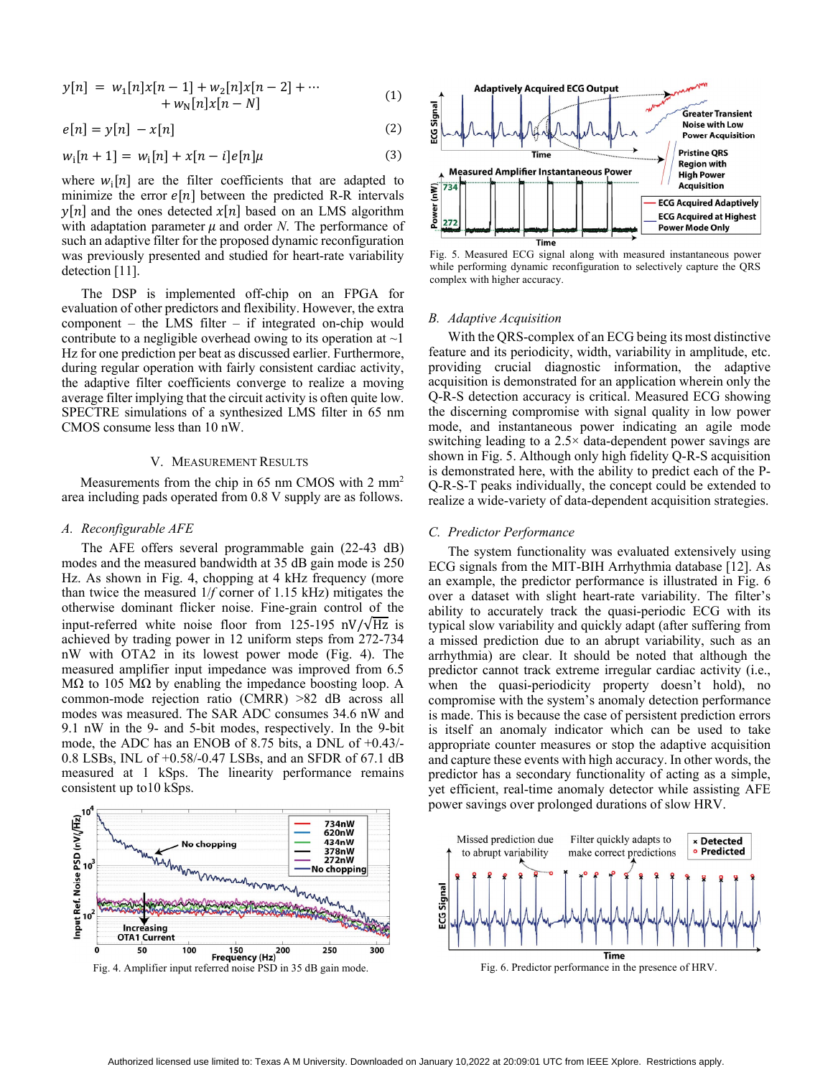$$
y[n] = w_1[n]x[n-1] + w_2[n]x[n-2] + \cdots + w_N[n]x[n-N]
$$
 (1)

$$
e[n] = y[n] - x[n] \tag{2}
$$

$$
w_i[n+1] = w_i[n] + x[n-i]e[n]\mu
$$
\n(3)

where  $w_i[n]$  are the filter coefficients that are adapted to minimize the error  $e[n]$  between the predicted R-R intervals  $\nu[n]$  and the ones detected  $\chi[n]$  based on an LMS algorithm with adaptation parameter  $\mu$  and order *N*. The performance of such an adaptive filter for the proposed dynamic reconfiguration was previously presented and studied for heart-rate variability detection [11].

 The DSP is implemented off-chip on an FPGA for evaluation of other predictors and flexibility. However, the extra component – the LMS filter – if integrated on-chip would contribute to a negligible overhead owing to its operation at  $\sim$ 1 Hz for one prediction per beat as discussed earlier. Furthermore, during regular operation with fairly consistent cardiac activity, the adaptive filter coefficients converge to realize a moving average filter implying that the circuit activity is often quite low. SPECTRE simulations of a synthesized LMS filter in 65 nm CMOS consume less than 10 nW.

## V. MEASUREMENT RESULTS

Measurements from the chip in 65 nm CMOS with 2 mm<sup>2</sup> area including pads operated from 0.8 V supply are as follows.

# *A. Reconfigurable AFE*

The AFE offers several programmable gain (22-43 dB) modes and the measured bandwidth at 35 dB gain mode is 250 Hz. As shown in Fig. 4, chopping at 4 kHz frequency (more than twice the measured 1/*f* corner of 1.15 kHz) mitigates the otherwise dominant flicker noise. Fine-grain control of the input-referred white noise floor from 125-195 nV/ $\sqrt{Hz}$  is achieved by trading power in 12 uniform steps from 272-734 nW with OTA2 in its lowest power mode (Fig. 4). The measured amplifier input impedance was improved from 6.5 MΩ to 105 MΩ by enabling the impedance boosting loop. A common-mode rejection ratio (CMRR) >82 dB across all modes was measured. The SAR ADC consumes 34.6 nW and 9.1 nW in the 9- and 5-bit modes, respectively. In the 9-bit mode, the ADC has an ENOB of 8.75 bits, a DNL of +0.43/- 0.8 LSBs, INL of +0.58/-0.47 LSBs, and an SFDR of 67.1 dB measured at 1 kSps. The linearity performance remains consistent up to10 kSps.







Fig. 5. Measured ECG signal along with measured instantaneous power while performing dynamic reconfiguration to selectively capture the QRS complex with higher accuracy.

### *B. Adaptive Acquisition*

With the QRS-complex of an ECG being its most distinctive feature and its periodicity, width, variability in amplitude, etc. providing crucial diagnostic information, the adaptive acquisition is demonstrated for an application wherein only the Q-R-S detection accuracy is critical. Measured ECG showing the discerning compromise with signal quality in low power mode, and instantaneous power indicating an agile mode switching leading to a 2.5× data-dependent power savings are shown in Fig. 5. Although only high fidelity Q-R-S acquisition is demonstrated here, with the ability to predict each of the P-Q-R-S-T peaks individually, the concept could be extended to realize a wide-variety of data-dependent acquisition strategies.

# *C. Predictor Performance*

The system functionality was evaluated extensively using ECG signals from the MIT-BIH Arrhythmia database [12]. As an example, the predictor performance is illustrated in Fig. 6 over a dataset with slight heart-rate variability. The filter's ability to accurately track the quasi-periodic ECG with its typical slow variability and quickly adapt (after suffering from a missed prediction due to an abrupt variability, such as an arrhythmia) are clear. It should be noted that although the predictor cannot track extreme irregular cardiac activity (i.e., when the quasi-periodicity property doesn't hold), no compromise with the system's anomaly detection performance is made. This is because the case of persistent prediction errors is itself an anomaly indicator which can be used to take appropriate counter measures or stop the adaptive acquisition and capture these events with high accuracy. In other words, the predictor has a secondary functionality of acting as a simple, yet efficient, real-time anomaly detector while assisting AFE power savings over prolonged durations of slow HRV.



Fig. 6. Predictor performance in the presence of HRV.